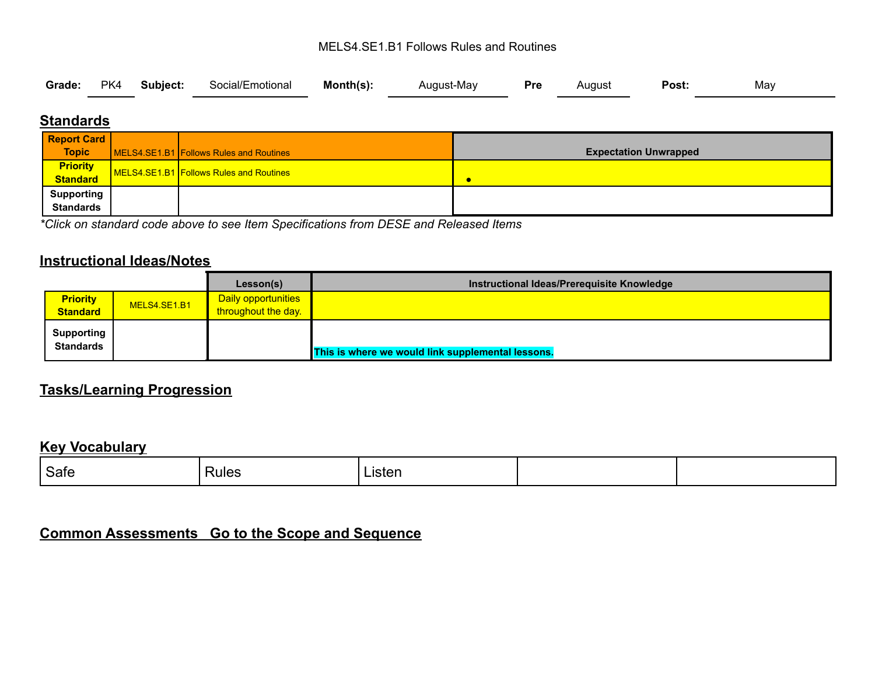#### MELS4.SE1.B1 Follows Rules and Routines

|  |  |  | Grade: PK4 Subject: Social/Emotional Month(s): |  | August-May <b>Pre</b> August |  |  | <b>Post:</b> | May |  |
|--|--|--|------------------------------------------------|--|------------------------------|--|--|--------------|-----|--|
|--|--|--|------------------------------------------------|--|------------------------------|--|--|--------------|-----|--|

# **Standards**

| <b>Report Card</b>          |                                         |                              |
|-----------------------------|-----------------------------------------|------------------------------|
| <b>Topic</b>                | MELS4.SE1.B1 Follows Rules and Routines | <b>Expectation Unwrapped</b> |
| <b>Priority</b><br>Standard | MELS4.SE1.B1 Follows Rules and Routines |                              |
|                             |                                         | c                            |
| <b>Supporting</b>           |                                         |                              |
| <b>Standards</b>            |                                         |                              |

*\*Click on standard code above to see Item Specifications from DESE and Released Items*

# **Instructional Ideas/Notes**

|                                       |              | Lesson(s)                  | Instructional Ideas/Prerequisite Knowledge        |
|---------------------------------------|--------------|----------------------------|---------------------------------------------------|
| <b>Priority</b>                       | MELS4.SE1.B1 | <b>Daily opportunities</b> |                                                   |
| <b>Standard</b>                       |              | throughout the day.        |                                                   |
| <b>Supporting</b><br><b>Standards</b> |              |                            | This is where we would link supplemental lessons. |

# **Tasks/Learning Progression**

#### **Key Vocabulary**

| Safe | Rules | ∟isten |  |
|------|-------|--------|--|
|      |       |        |  |

# **Common Assessments Go to the Scope and Sequence**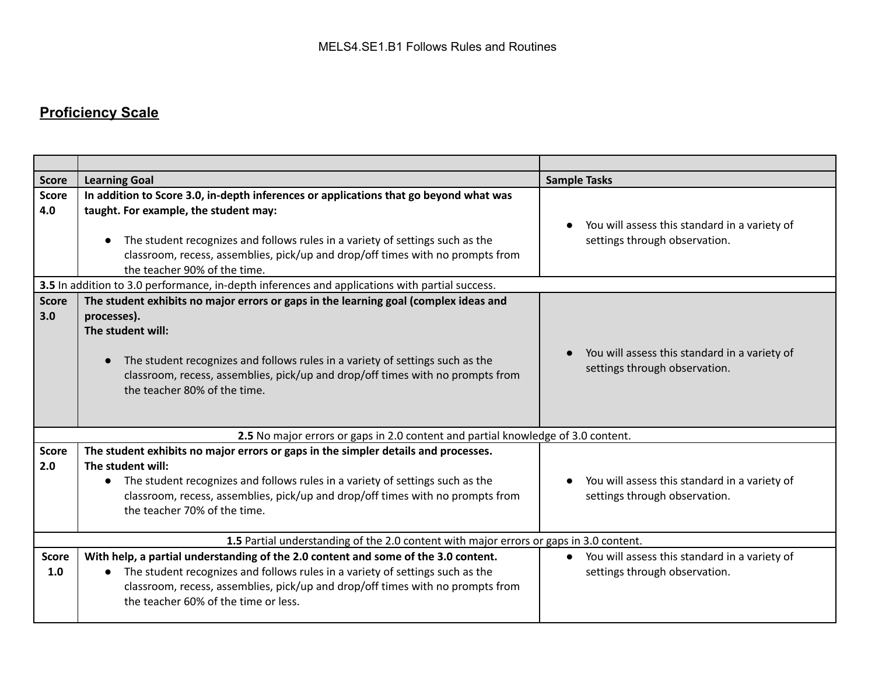# **Proficiency Scale**

| <b>Score</b>        | <b>Learning Goal</b>                                                                                                                                                                                                                                                                                                              | <b>Sample Tasks</b>                                                              |  |  |  |
|---------------------|-----------------------------------------------------------------------------------------------------------------------------------------------------------------------------------------------------------------------------------------------------------------------------------------------------------------------------------|----------------------------------------------------------------------------------|--|--|--|
| <b>Score</b><br>4.0 | In addition to Score 3.0, in-depth inferences or applications that go beyond what was<br>taught. For example, the student may:<br>The student recognizes and follows rules in a variety of settings such as the<br>classroom, recess, assemblies, pick/up and drop/off times with no prompts from<br>the teacher 90% of the time. | You will assess this standard in a variety of<br>settings through observation.   |  |  |  |
|                     | 3.5 In addition to 3.0 performance, in-depth inferences and applications with partial success.                                                                                                                                                                                                                                    |                                                                                  |  |  |  |
| <b>Score</b><br>3.0 | The student exhibits no major errors or gaps in the learning goal (complex ideas and<br>processes).<br>The student will:<br>The student recognizes and follows rules in a variety of settings such as the<br>classroom, recess, assemblies, pick/up and drop/off times with no prompts from<br>the teacher 80% of the time.       | You will assess this standard in a variety of<br>settings through observation.   |  |  |  |
|                     | 2.5 No major errors or gaps in 2.0 content and partial knowledge of 3.0 content.                                                                                                                                                                                                                                                  |                                                                                  |  |  |  |
| <b>Score</b><br>2.0 | The student exhibits no major errors or gaps in the simpler details and processes.<br>The student will:<br>The student recognizes and follows rules in a variety of settings such as the<br>$\bullet$<br>classroom, recess, assemblies, pick/up and drop/off times with no prompts from<br>the teacher 70% of the time.           | You will assess this standard in a variety of<br>settings through observation.   |  |  |  |
|                     | 1.5 Partial understanding of the 2.0 content with major errors or gaps in 3.0 content.                                                                                                                                                                                                                                            |                                                                                  |  |  |  |
| <b>Score</b><br>1.0 | With help, a partial understanding of the 2.0 content and some of the 3.0 content.<br>The student recognizes and follows rules in a variety of settings such as the<br>classroom, recess, assemblies, pick/up and drop/off times with no prompts from<br>the teacher 60% of the time or less.                                     | • You will assess this standard in a variety of<br>settings through observation. |  |  |  |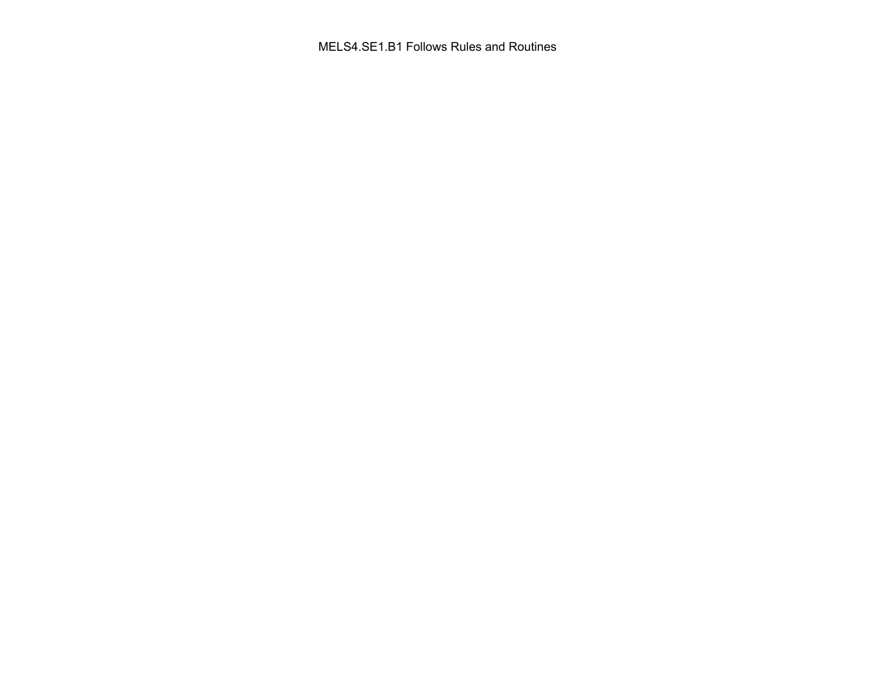MELS4.SE1.B1 Follows Rules and Routines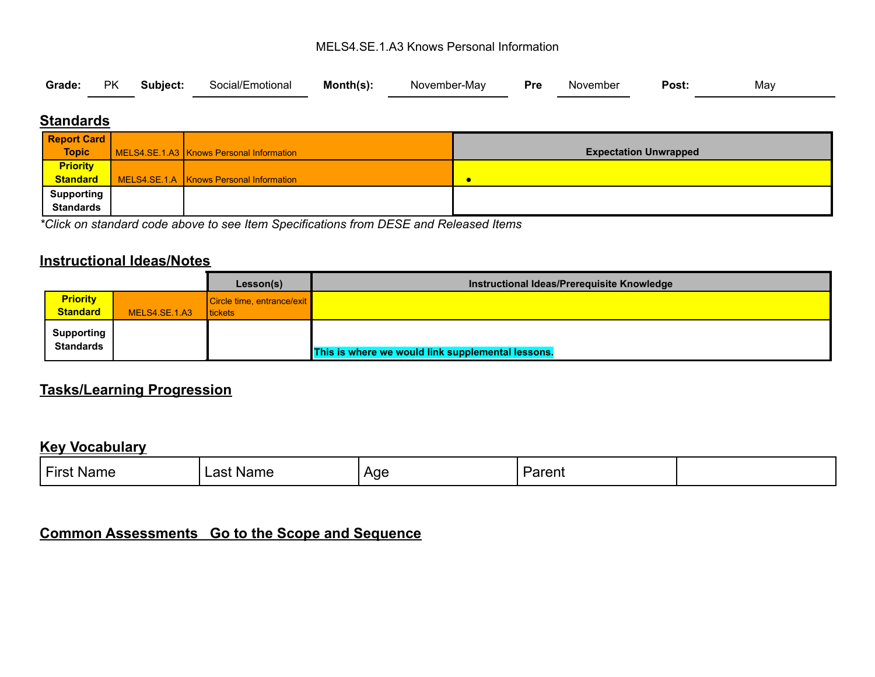#### MELS4.SE.1.A3 Knows Personal Information

|  |  |  |  |  | Grade: PK Subject: Social/Emotional Month(s): November-May Pre November |  |  | Post: | May |  |
|--|--|--|--|--|-------------------------------------------------------------------------|--|--|-------|-----|--|
|--|--|--|--|--|-------------------------------------------------------------------------|--|--|-------|-----|--|

## **Standards**

| <b>Report Card</b> |                                           |                              |
|--------------------|-------------------------------------------|------------------------------|
| <b>Topic</b>       | MELS4.SE.1.A3 Knows Personal Information  | <b>Expectation Unwrapped</b> |
| <b>Priority</b>    |                                           |                              |
| <b>Standard</b>    | MELS4.SE.1.A   Knows Personal Information | $\bullet$                    |
| <b>Supporting</b>  |                                           |                              |
| <b>Standards</b>   |                                           |                              |

*\*Click on standard code above to see Item Specifications from DESE and Released Items*

# **Instructional Ideas/Notes**

|                                       |               | Lesson(s)                  | Instructional Ideas/Prerequisite Knowledge        |
|---------------------------------------|---------------|----------------------------|---------------------------------------------------|
| <b>Priority</b>                       |               | Circle time, entrance/exit |                                                   |
| <b>Standard</b>                       | MELS4.SE.1.A3 | <b>Itickets</b>            |                                                   |
| <b>Supporting</b><br><b>Standards</b> |               |                            | This is where we would link supplemental lessons. |

# **Tasks/Learning Progression**

#### **Key Vocabulary**

| First<br>Name | Name<br>יספ<br>aəı | Age<br>. . | Parent |  |
|---------------|--------------------|------------|--------|--|
|               |                    |            |        |  |

# **Common Assessments Go to the Scope and Sequence**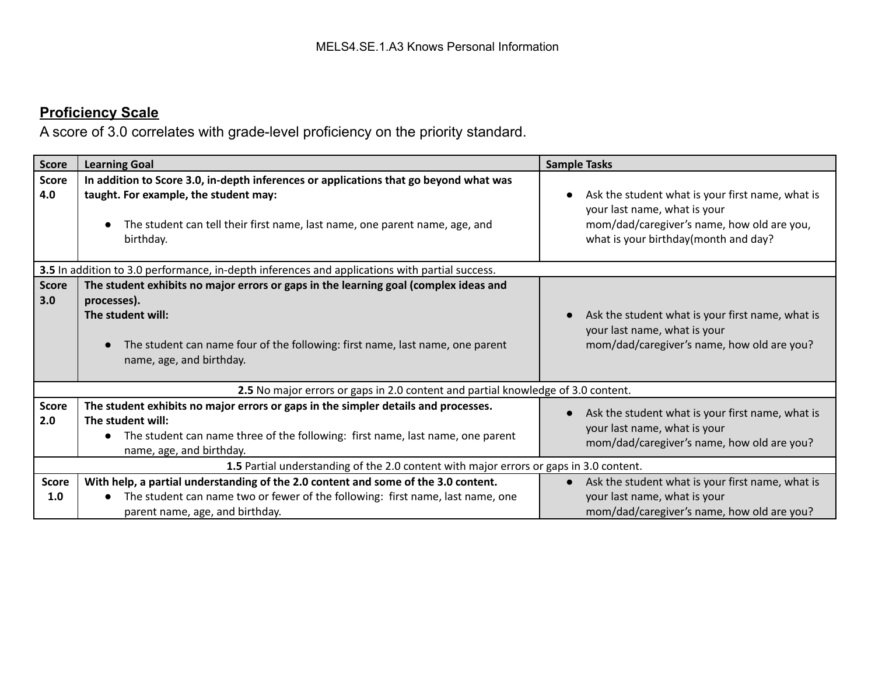# **Proficiency Scale**

A score of 3.0 correlates with grade-level proficiency on the priority standard.

| <b>Score</b>        | <b>Learning Goal</b>                                                                                                                                                                                                                  | <b>Sample Tasks</b>                                                                                                                                                    |  |  |  |  |  |
|---------------------|---------------------------------------------------------------------------------------------------------------------------------------------------------------------------------------------------------------------------------------|------------------------------------------------------------------------------------------------------------------------------------------------------------------------|--|--|--|--|--|
| <b>Score</b><br>4.0 | In addition to Score 3.0, in-depth inferences or applications that go beyond what was<br>taught. For example, the student may:<br>The student can tell their first name, last name, one parent name, age, and<br>birthday.            | Ask the student what is your first name, what is<br>your last name, what is your<br>mom/dad/caregiver's name, how old are you,<br>what is your birthday(month and day? |  |  |  |  |  |
|                     | 3.5 In addition to 3.0 performance, in-depth inferences and applications with partial success.                                                                                                                                        |                                                                                                                                                                        |  |  |  |  |  |
| <b>Score</b><br>3.0 | The student exhibits no major errors or gaps in the learning goal (complex ideas and<br>processes).<br>The student will:<br>The student can name four of the following: first name, last name, one parent<br>name, age, and birthday. | Ask the student what is your first name, what is<br>your last name, what is your<br>mom/dad/caregiver's name, how old are you?                                         |  |  |  |  |  |
|                     | 2.5 No major errors or gaps in 2.0 content and partial knowledge of 3.0 content.                                                                                                                                                      |                                                                                                                                                                        |  |  |  |  |  |
| <b>Score</b><br>2.0 | The student exhibits no major errors or gaps in the simpler details and processes.<br>The student will:<br>The student can name three of the following: first name, last name, one parent<br>name, age, and birthday.                 | Ask the student what is your first name, what is<br>your last name, what is your<br>mom/dad/caregiver's name, how old are you?                                         |  |  |  |  |  |
|                     | 1.5 Partial understanding of the 2.0 content with major errors or gaps in 3.0 content.                                                                                                                                                |                                                                                                                                                                        |  |  |  |  |  |
| <b>Score</b><br>1.0 | With help, a partial understanding of the 2.0 content and some of the 3.0 content.<br>The student can name two or fewer of the following: first name, last name, one<br>parent name, age, and birthday.                               | • Ask the student what is your first name, what is<br>your last name, what is your<br>mom/dad/caregiver's name, how old are you?                                       |  |  |  |  |  |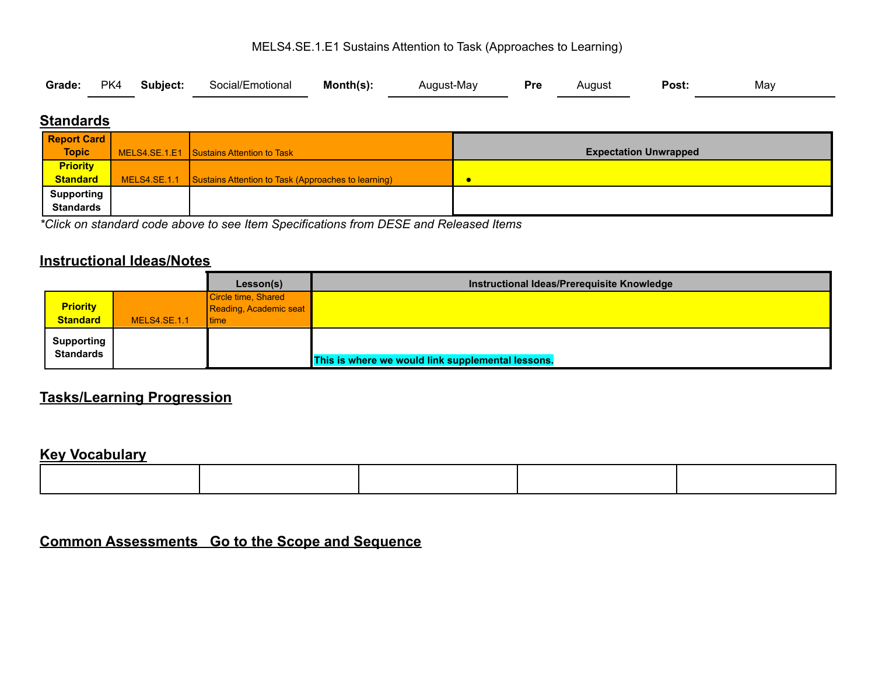#### MELS4.SE.1.E1 Sustains Attention to Task (Approaches to Learning)

| Grade: PK4 Subject: Social/Emotional Month(s): August-May Pre August Post: |  |  |  |  |  |  |  |  |  | May |  |
|----------------------------------------------------------------------------|--|--|--|--|--|--|--|--|--|-----|--|
|----------------------------------------------------------------------------|--|--|--|--|--|--|--|--|--|-----|--|

# **Standards**

| <b>Report Card</b> |                                                                    |                              |
|--------------------|--------------------------------------------------------------------|------------------------------|
| <b>Topic</b>       | MELS4.SE.1.E1 Sustains Attention to Task                           | <b>Expectation Unwrapped</b> |
| <b>Priority</b>    |                                                                    |                              |
| Standard           | MELS4.SE.1.1   Sustains Attention to Task (Approaches to learning) | C                            |
| <b>Supporting</b>  |                                                                    |                              |
| <b>Standards</b>   |                                                                    |                              |

*\*Click on standard code above to see Item Specifications from DESE and Released Items*

# **Instructional Ideas/Notes**

|                                       |                     | Lesson(s)                                                      | Instructional Ideas/Prerequisite Knowledge        |  |
|---------------------------------------|---------------------|----------------------------------------------------------------|---------------------------------------------------|--|
| <b>Priority</b><br><b>Standard</b>    | <b>MELS4.SE.1.1</b> | Circle time, Shared<br>Reading, Academic seat<br><b>I</b> time |                                                   |  |
| <b>Supporting</b><br><b>Standards</b> |                     |                                                                | This is where we would link supplemental lessons. |  |

# **Tasks/Learning Progression**

#### **Key Vocabulary**

# **Common Assessments Go to the Scope and Sequence**